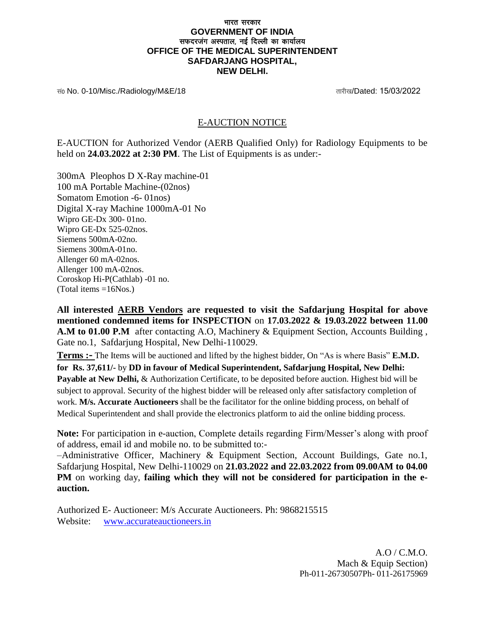## भारत सरकार **GOVERNMENT OF INDIA** सफदरजग अस्पताल, नई दिल्ली का कार्यालय **OFFICE OF THE MEDICAL SUPERINTENDENT SAFDARJANG HOSPITAL, NEW DELHI.**

सं0 No. 0-10/Misc./Radiology/M&E/18 and the control of the control of the control of the control of the control of the control of the control of the control of the control of the control of the control of the control of t

## E-AUCTION NOTICE

E-AUCTION for Authorized Vendor (AERB Qualified Only) for Radiology Equipments to be held on **24.03.2022 at 2:30 PM**. The List of Equipments is as under:-

300mA Pleophos D X-Ray machine-01 100 mA Portable Machine-(02nos) Somatom Emotion -6- 01nos) Digital X-ray Machine 1000mA-01 No Wipro GE-Dx 300- 01no. Wipro GE-Dx 525-02nos. Siemens 500mA-02no. Siemens 300mA-01no. Allenger 60 mA-02nos. Allenger 100 mA-02nos. Coroskop Hi-P(Cathlab) -01 no. (Total items =16Nos.)

**All interested AERB Vendors are requested to visit the Safdarjung Hospital for above mentioned condemned items for INSPECTION** on **17.03.2022 & 19.03.2022 between 11.00 A.M to 01.00 P.M** after contacting A.O, Machinery & Equipment Section, Accounts Building , Gate no.1, Safdarjung Hospital, New Delhi-110029.

**Terms :-** The Items will be auctioned and lifted by the highest bidder, On "As is where Basis" **E.M.D.**

**for Rs. 37,611/-** by **DD in favour of Medical Superintendent, Safdarjung Hospital, New Delhi: Payable at New Delhi,** & Authorization Certificate, to be deposited before auction. Highest bid will be subject to approval. Security of the highest bidder will be released only after satisfactory completion of work. **M/s. Accurate Auctioneers** shall be the facilitator for the online bidding process, on behalf of Medical Superintendent and shall provide the electronics platform to aid the online bidding process.

**Note:** For participation in e-auction, Complete details regarding Firm/Messer's along with proof of address, email id and mobile no. to be submitted to:-

–Administrative Officer, Machinery & Equipment Section, Account Buildings, Gate no.1, Safdarjung Hospital, New Delhi-110029 on **21.03.2022 and 22.03.2022 from 09.00AM to 04.00 PM** on working day, **failing which they will not be considered for participation in the eauction.**

Authorized E- Auctioneer: M/s Accurate Auctioneers. Ph: 9868215515 Website: www.accurateauctioneers.in

> A.O / C.M.O. Mach & Equip Section) Ph-011-26730507Ph- 011-26175969